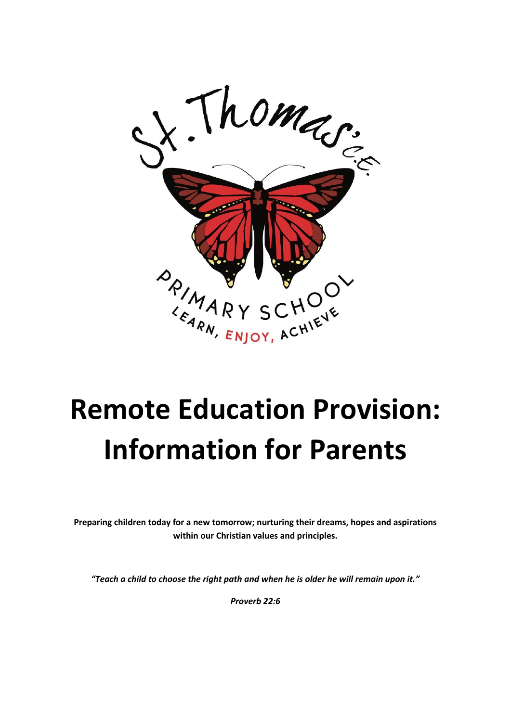

# **Remote Education Provision: Information for Parents**

**Preparing children today for a new tomorrow; nurturing their dreams, hopes and aspirations within our Christian values and principles.** 

*"Teach a child to choose the right path and when he is older he will remain upon it."* 

*Proverb 22:6*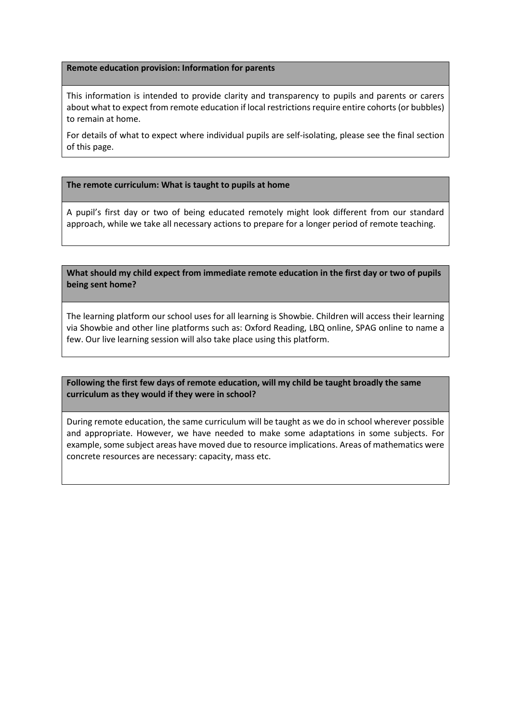#### **Remote education provision: Information for parents**

This information is intended to provide clarity and transparency to pupils and parents or carers about what to expect from remote education if local restrictions require entire cohorts (or bubbles) to remain at home.

For details of what to expect where individual pupils are self-isolating, please see the final section of this page.

## **The remote curriculum: What is taught to pupils at home**

A pupil's first day or two of being educated remotely might look different from our standard approach, while we take all necessary actions to prepare for a longer period of remote teaching.

**What should my child expect from immediate remote education in the first day or two of pupils being sent home?**

The learning platform our school uses for all learning is Showbie. Children will access their learning via Showbie and other line platforms such as: Oxford Reading, LBQ online, SPAG online to name a few. Our live learning session will also take place using this platform.

**Following the first few days of remote education, will my child be taught broadly the same curriculum as they would if they were in school?**

During remote education, the same curriculum will be taught as we do in school wherever possible and appropriate. However, we have needed to make some adaptations in some subjects. For example, some subject areas have moved due to resource implications. Areas of mathematics were concrete resources are necessary: capacity, mass etc.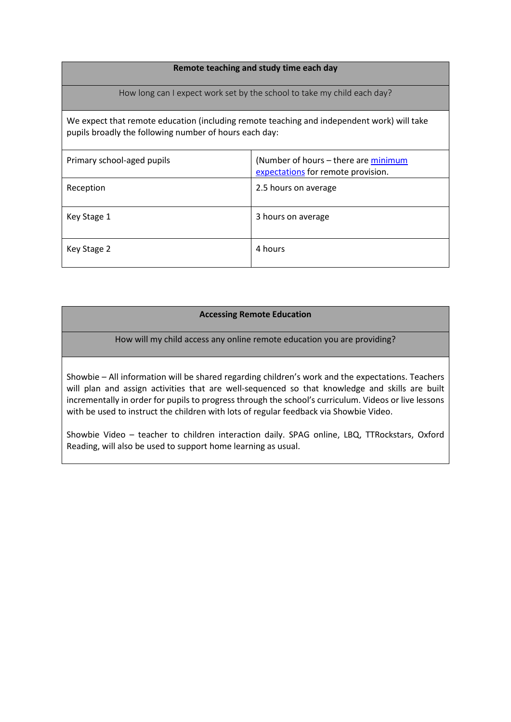## **Remote teaching and study time each day**

How long can I expect work set by the school to take my child each day?

We expect that remote education (including remote teaching and independent work) will take pupils broadly the following number of hours each day:

| Primary school-aged pupils | (Number of hours - there are minimum<br>expectations for remote provision. |  |
|----------------------------|----------------------------------------------------------------------------|--|
| Reception                  | 2.5 hours on average                                                       |  |
| Key Stage 1                | 3 hours on average                                                         |  |
| Key Stage 2                | 4 hours                                                                    |  |

## **Accessing Remote Education**

How will my child access any online remote education you are providing?

Showbie – All information will be shared regarding children's work and the expectations. Teachers will plan and assign activities that are well-sequenced so that knowledge and skills are built incrementally in order for pupils to progress through the school's curriculum. Videos or live lessons with be used to instruct the children with lots of regular feedback via Showbie Video.

Showbie Video – teacher to children interaction daily. SPAG online, LBQ, TTRockstars, Oxford Reading, will also be used to support home learning as usual.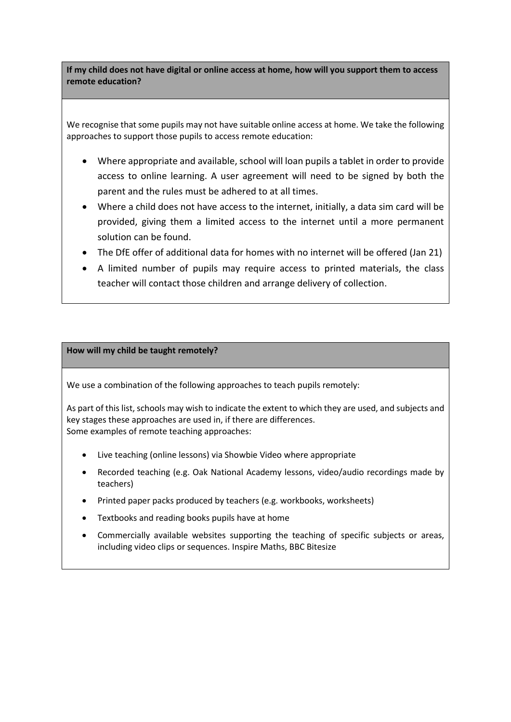**If my child does not have digital or online access at home, how will you support them to access remote education?**

We recognise that some pupils may not have suitable online access at home. We take the following approaches to support those pupils to access remote education:

- Where appropriate and available, school will loan pupils a tablet in order to provide access to online learning. A user agreement will need to be signed by both the parent and the rules must be adhered to at all times.
- Where a child does not have access to the internet, initially, a data sim card will be provided, giving them a limited access to the internet until a more permanent solution can be found.
- The DfE offer of additional data for homes with no internet will be offered (Jan 21)
- A limited number of pupils may require access to printed materials, the class teacher will contact those children and arrange delivery of collection.

## **How will my child be taught remotely?**

We use a combination of the following approaches to teach pupils remotely:

As part of this list, schools may wish to indicate the extent to which they are used, and subjects and key stages these approaches are used in, if there are differences. Some examples of remote teaching approaches:

- Live teaching (online lessons) via Showbie Video where appropriate
- Recorded teaching (e.g. Oak National Academy lessons, video/audio recordings made by teachers)
- Printed paper packs produced by teachers (e.g. workbooks, worksheets)
- Textbooks and reading books pupils have at home
- Commercially available websites supporting the teaching of specific subjects or areas, including video clips or sequences. Inspire Maths, BBC Bitesize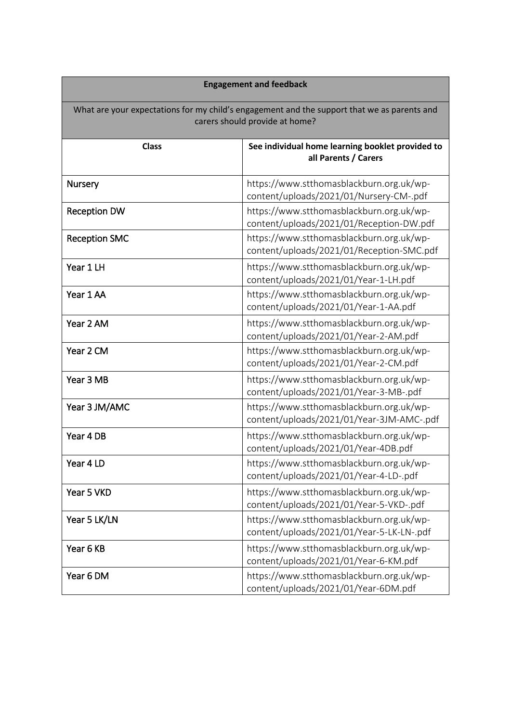| <b>Engagement and feedback</b>                                                                                                |                                                                                       |  |  |  |  |  |
|-------------------------------------------------------------------------------------------------------------------------------|---------------------------------------------------------------------------------------|--|--|--|--|--|
| What are your expectations for my child's engagement and the support that we as parents and<br>carers should provide at home? |                                                                                       |  |  |  |  |  |
| <b>Class</b>                                                                                                                  | See individual home learning booklet provided to<br>all Parents / Carers              |  |  |  |  |  |
| Nursery                                                                                                                       | https://www.stthomasblackburn.org.uk/wp-<br>content/uploads/2021/01/Nursery-CM-.pdf   |  |  |  |  |  |
| <b>Reception DW</b>                                                                                                           | https://www.stthomasblackburn.org.uk/wp-<br>content/uploads/2021/01/Reception-DW.pdf  |  |  |  |  |  |
| <b>Reception SMC</b>                                                                                                          | https://www.stthomasblackburn.org.uk/wp-<br>content/uploads/2021/01/Reception-SMC.pdf |  |  |  |  |  |
| Year 1 LH                                                                                                                     | https://www.stthomasblackburn.org.uk/wp-<br>content/uploads/2021/01/Year-1-LH.pdf     |  |  |  |  |  |
| Year 1 AA                                                                                                                     | https://www.stthomasblackburn.org.uk/wp-<br>content/uploads/2021/01/Year-1-AA.pdf     |  |  |  |  |  |
| Year 2 AM                                                                                                                     | https://www.stthomasblackburn.org.uk/wp-<br>content/uploads/2021/01/Year-2-AM.pdf     |  |  |  |  |  |
| Year 2 CM                                                                                                                     | https://www.stthomasblackburn.org.uk/wp-<br>content/uploads/2021/01/Year-2-CM.pdf     |  |  |  |  |  |
| Year 3 MB                                                                                                                     | https://www.stthomasblackburn.org.uk/wp-<br>content/uploads/2021/01/Year-3-MB-.pdf    |  |  |  |  |  |
| Year 3 JM/AMC                                                                                                                 | https://www.stthomasblackburn.org.uk/wp-<br>content/uploads/2021/01/Year-3JM-AMC-.pdf |  |  |  |  |  |
| Year 4 DB                                                                                                                     | https://www.stthomasblackburn.org.uk/wp-<br>content/uploads/2021/01/Year-4DB.pdf      |  |  |  |  |  |
| Year 4 LD                                                                                                                     | https://www.stthomasblackburn.org.uk/wp-<br>content/uploads/2021/01/Year-4-LD-.pdf    |  |  |  |  |  |
| Year 5 VKD                                                                                                                    | https://www.stthomasblackburn.org.uk/wp-<br>content/uploads/2021/01/Year-5-VKD-.pdf   |  |  |  |  |  |
| Year 5 LK/LN                                                                                                                  | https://www.stthomasblackburn.org.uk/wp-<br>content/uploads/2021/01/Year-5-LK-LN-.pdf |  |  |  |  |  |
| Year 6 KB                                                                                                                     | https://www.stthomasblackburn.org.uk/wp-<br>content/uploads/2021/01/Year-6-KM.pdf     |  |  |  |  |  |
| Year 6 DM                                                                                                                     | https://www.stthomasblackburn.org.uk/wp-<br>content/uploads/2021/01/Year-6DM.pdf      |  |  |  |  |  |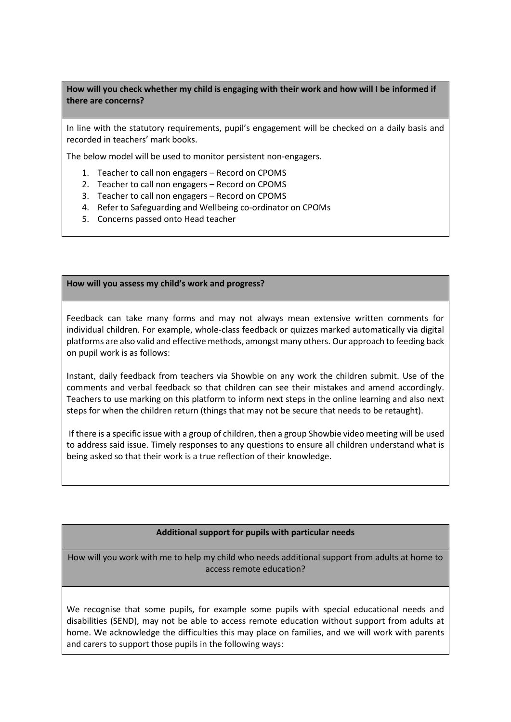**How will you check whether my child is engaging with their work and how will I be informed if there are concerns?**

In line with the statutory requirements, pupil's engagement will be checked on a daily basis and recorded in teachers' mark books.

The below model will be used to monitor persistent non-engagers.

- 1. Teacher to call non engagers Record on CPOMS
- 2. Teacher to call non engagers Record on CPOMS
- 3. Teacher to call non engagers Record on CPOMS
- 4. Refer to Safeguarding and Wellbeing co-ordinator on CPOMs
- 5. Concerns passed onto Head teacher

**How will you assess my child's work and progress?**

Feedback can take many forms and may not always mean extensive written comments for individual children. For example, whole-class feedback or quizzes marked automatically via digital platforms are also valid and effective methods, amongst many others. Our approach to feeding back on pupil work is as follows:

Instant, daily feedback from teachers via Showbie on any work the children submit. Use of the comments and verbal feedback so that children can see their mistakes and amend accordingly. Teachers to use marking on this platform to inform next steps in the online learning and also next steps for when the children return (things that may not be secure that needs to be retaught).

If there is a specific issue with a group of children, then a group Showbie video meeting will be used to address said issue. Timely responses to any questions to ensure all children understand what is being asked so that their work is a true reflection of their knowledge.

## **Additional support for pupils with particular needs**

How will you work with me to help my child who needs additional support from adults at home to access remote education?

We recognise that some pupils, for example some pupils with special educational needs and disabilities (SEND), may not be able to access remote education without support from adults at home. We acknowledge the difficulties this may place on families, and we will work with parents and carers to support those pupils in the following ways: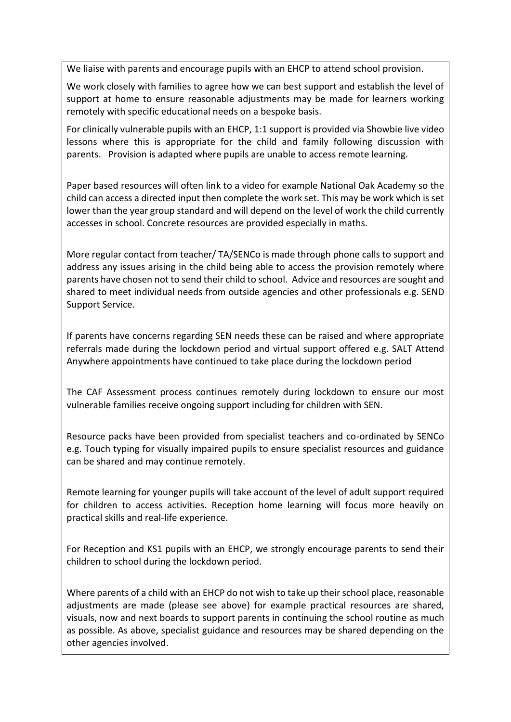We liaise with parents and encourage pupils with an EHCP to attend school provision.

We work closely with families to agree how we can best support and establish the level of support at home to ensure reasonable adjustments may be made for learners working remotely with specific educational needs on a bespoke basis.

For clinically vulnerable pupils with an EHCP, 1:1 support is provided via Showbie live video lessons where this is appropriate for the child and family following discussion with parents. Provision is adapted where pupils are unable to access remote learning.

Paper based resources will often link to a video for example National Oak Academy so the child can access a directed input then complete the work set. This may be work which is set lower than the year group standard and will depend on the level of work the child currently accesses in school. Concrete resources are provided especially in maths.

More regular contact from teacher/ TA/SENCo is made through phone calls to support and address any issues arising in the child being able to access the provision remotely where parents have chosen not to send their child to school. Advice and resources are sought and shared to meet individual needs from outside agencies and other professionals e.g. SEND Support Service.

If parents have concerns regarding SEN needs these can be raised and where appropriate referrals made during the lockdown period and virtual support offered e.g. SALT Attend Anywhere appointments have continued to take place during the lockdown period

The CAF Assessment process continues remotely during lockdown to ensure our most vulnerable families receive ongoing support including for children with SEN.

Resource packs have been provided from specialist teachers and co-ordinated by SENCo e.g. Touch typing for visually impaired pupils to ensure specialist resources and guidance can be shared and may continue remotely.

Remote learning for younger pupils will take account of the level of adult support required for children to access activities. Reception home learning will focus more heavily on practical skills and real-life experience.

For Reception and KS1 pupils with an EHCP, we strongly encourage parents to send their children to school during the lockdown period.

Where parents of a child with an EHCP do not wish to take up their school place, reasonable adjustments are made (please see above) for example practical resources are shared, visuals, now and next boards to support parents in continuing the school routine as much as possible. As above, specialist guidance and resources may be shared depending on the other agencies involved.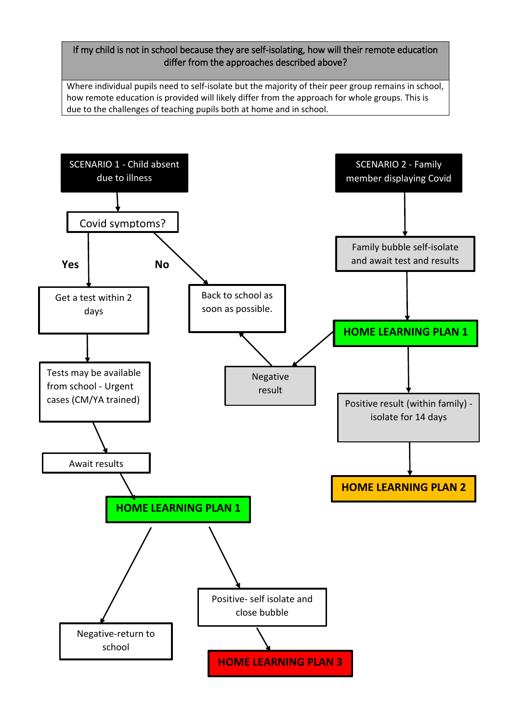## If my child is not in school because they are self-isolating, how will their remote education differ from the approaches described above?

Where individual pupils need to self-isolate but the majority of their peer group remains in school, how remote education is provided will likely differ from the approach for whole groups. This is due to the challenges of teaching pupils both at home and in school.